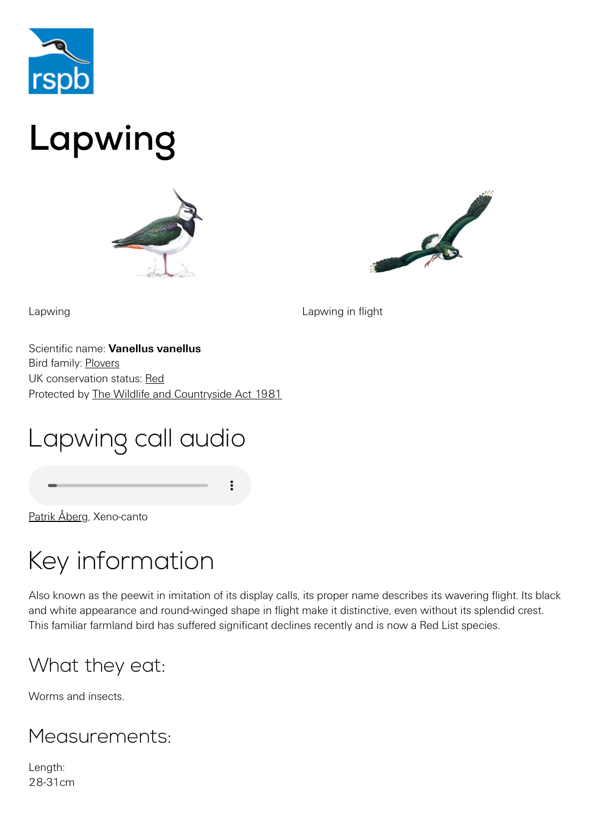

# Lapwing





Lapwing **Lapwing in flight** 

Scientific name: **Vanellus vanellus** Bird family: [Plovers](https://www.rspb.org.uk/birds-and-wildlife/wildlife-guides/bird-a-z/plover-family/) UK conservation status: [Red](https://www.rspb.org.uk/birds-and-wildlife/wildlife-guides/uk-conservation-status-explained/) Protected by [The Wildlife and Countryside Act 1981](https://www.rspb.org.uk/birds-and-wildlife/advice/wildlife-and-the-law/wildlife-and-countryside-act/)

## Lapwing call audio

[Patrik Åberg,](http://www.xeno-canto.org/27060) Xeno-canto

## Key information

Also known as the peewit in imitation of its display calls, its proper name describes its wavering flight. Its black and white appearance and round-winged shape in flight make it distinctive, even without its splendid crest. This familiar farmland bird has suffered significant declines recently and is now a Red List species.

#### What they eat:

Worms and insects.

#### Measurements:

Length: 28-31cm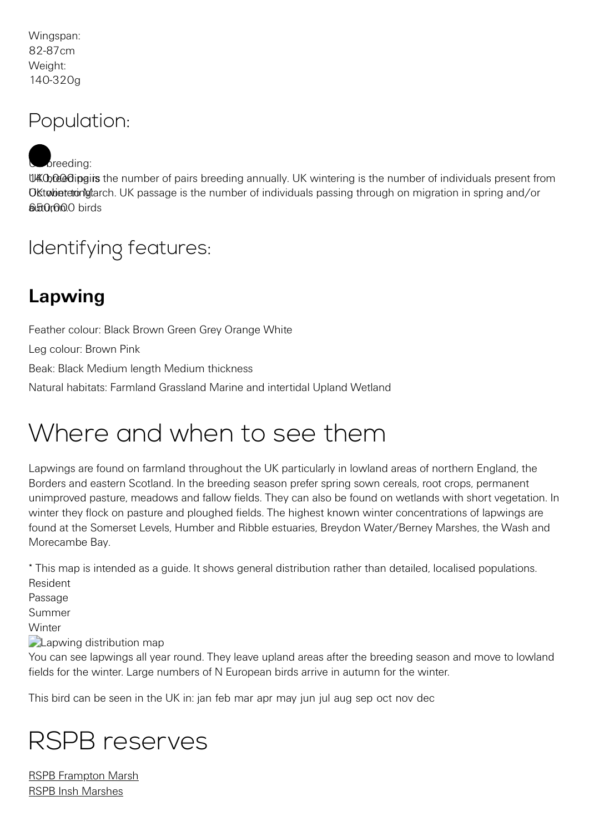Wingspan: 82-87cm Weight: 140-320g

#### Population:

UKO0000 dipgirs the number of pairs breeding annually. UK wintering is the number of individuals present from Oktobetetonglarch. UK passage is the number of individuals passing through on migration in spring and/or 650,000 birds  $b$  reeding:

## Identifying features:

## **Lapwing**

Feather colour: Black Brown Green Grey Orange White Leg colour: Brown Pink Beak: Black Medium length Medium thickness

Natural habitats: Farmland Grassland Marine and intertidal Upland Wetland

## Where and when to see them

Lapwings are found on farmland throughout the UK particularly in lowland areas of northern England, the Borders and eastern Scotland. In the breeding season prefer spring sown cereals, root crops, permanent unimproved pasture, meadows and fallow fields. They can also be found on wetlands with short vegetation. In winter they flock on pasture and ploughed fields. The highest known winter concentrations of lapwings are found at the Somerset Levels, Humber and Ribble estuaries, Breydon Water/Berney Marshes, the Wash and Morecambe Bay.

\* This map is intended as a guide. It shows general distribution rather than detailed, localised populations. Resident

Passage Summer **Winter Lapwing distribution map** 

You can see lapwings all year round. They leave upland areas after the breeding season and move to lowland fields for the winter. Large numbers of N European birds arrive in autumn for the winter.

This bird can be seen in the UK in: jan feb mar apr may jun jul aug sep oct nov dec

## RSPB reserves

[RSPB Frampton Marsh](https://www.rspb.org.uk/reserves-and-events/reserves-a-z/frampton-marsh/) [RSPB Insh Marshes](https://www.rspb.org.uk/reserves-and-events/reserves-a-z/insh-marshes/)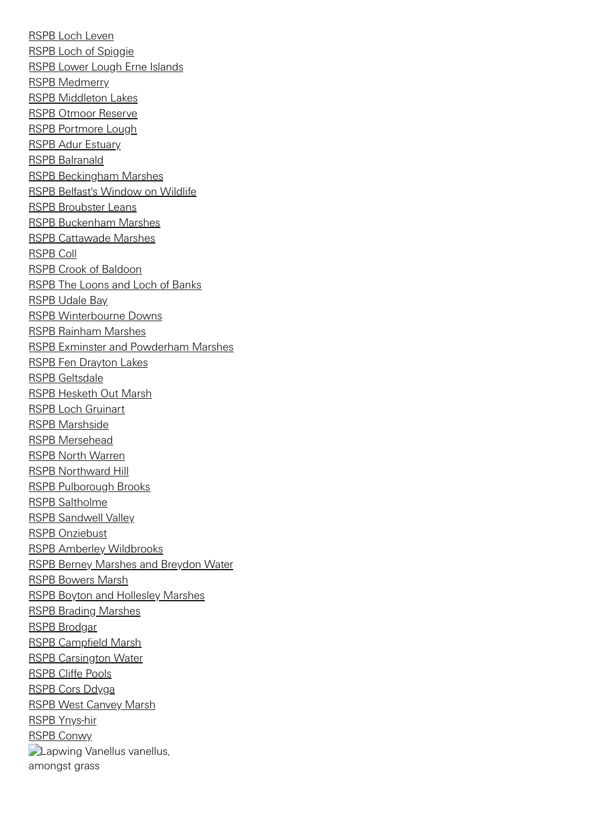[RSPB Loch Leven](https://www.rspb.org.uk/reserves-and-events/reserves-a-z/loch-leven/) [RSPB Loch of Spiggie](https://www.rspb.org.uk/reserves-and-events/reserves-a-z/loch-of-spiggie/) [RSPB Lower Lough Erne Islands](https://www.rspb.org.uk/reserves-and-events/reserves-a-z/lower-lough-erne-islands/) [RSPB Medmerry](https://www.rspb.org.uk/reserves-and-events/reserves-a-z/medmerry/) [RSPB Middleton Lakes](https://www.rspb.org.uk/reserves-and-events/reserves-a-z/middleton-lakes/) [RSPB Otmoor Reserve](https://www.rspb.org.uk/reserves-and-events/reserves-a-z/otmoor-reserve/) [RSPB Portmore Lough](https://www.rspb.org.uk/reserves-and-events/reserves-a-z/portmore-lough/) **[RSPB Adur Estuary](https://www.rspb.org.uk/reserves-and-events/reserves-a-z/adur-estuary/)** [RSPB Balranald](https://www.rspb.org.uk/reserves-and-events/reserves-a-z/balranald/) [RSPB Beckingham Marshes](https://www.rspb.org.uk/reserves-and-events/reserves-a-z/beckingham-marshes/) [RSPB Belfast's Window on Wildlife](https://www.rspb.org.uk/reserves-and-events/reserves-a-z/belfasts-window-on-wildlife/) [RSPB Broubster Leans](https://www.rspb.org.uk/reserves-and-events/reserves-a-z/broubster-leans/) [RSPB Buckenham Marshes](https://www.rspb.org.uk/reserves-and-events/reserves-a-z/buckenham-marshes/) [RSPB Cattawade Marshes](https://www.rspb.org.uk/reserves-and-events/reserves-a-z/cattawade-marshes/) [RSPB Coll](https://www.rspb.org.uk/reserves-and-events/reserves-a-z/coll/) [RSPB Crook of Baldoon](https://www.rspb.org.uk/reserves-and-events/reserves-a-z/crook-of-baldoon/) [RSPB The Loons and Loch of Banks](https://www.rspb.org.uk/reserves-and-events/reserves-a-z/the-loons-and-loch-of-banks/) [RSPB Udale Bay](https://www.rspb.org.uk/reserves-and-events/reserves-a-z/udale-bay/) [RSPB Winterbourne Downs](https://www.rspb.org.uk/reserves-and-events/reserves-a-z/winterbourne-downs/) [RSPB Rainham Marshes](https://www.rspb.org.uk/reserves-and-events/reserves-a-z/rainham-marshes/) [RSPB Exminster and Powderham Marshes](https://www.rspb.org.uk/reserves-and-events/reserves-a-z/exminster-and-powderham-marshes/) [RSPB Fen Drayton Lakes](https://www.rspb.org.uk/reserves-and-events/reserves-a-z/fen-drayton-lakes/) [RSPB Geltsdale](https://www.rspb.org.uk/reserves-and-events/reserves-a-z/geltsdale/) [RSPB Hesketh Out Marsh](https://www.rspb.org.uk/reserves-and-events/reserves-a-z/hesketh-out-marsh/) [RSPB Loch Gruinart](https://www.rspb.org.uk/reserves-and-events/reserves-a-z/loch-gruinart/) [RSPB Marshside](https://www.rspb.org.uk/reserves-and-events/reserves-a-z/marshside/) [RSPB Mersehead](https://www.rspb.org.uk/reserves-and-events/reserves-a-z/mersehead/) [RSPB North Warren](https://www.rspb.org.uk/reserves-and-events/reserves-a-z/north-warren/) [RSPB Northward Hill](https://www.rspb.org.uk/reserves-and-events/reserves-a-z/northward-hill/) [RSPB Pulborough Brooks](https://www.rspb.org.uk/reserves-and-events/reserves-a-z/pulborough-brooks/) [RSPB Saltholme](https://www.rspb.org.uk/reserves-and-events/reserves-a-z/saltholme/) [RSPB Sandwell Valley](https://www.rspb.org.uk/reserves-and-events/reserves-a-z/sandwell-valley/) [RSPB Onziebust](https://www.rspb.org.uk/reserves-and-events/reserves-a-z/onziebust/) [RSPB Amberley Wildbrooks](https://www.rspb.org.uk/reserves-and-events/reserves-a-z/amberley-wildbrooks/) [RSPB Berney Marshes and Breydon Water](https://www.rspb.org.uk/reserves-and-events/reserves-a-z/berney-marshes-breydon-water/) [RSPB Bowers Marsh](https://www.rspb.org.uk/reserves-and-events/reserves-a-z/bowers-marsh/) [RSPB Boyton and Hollesley Marshes](https://www.rspb.org.uk/reserves-and-events/reserves-a-z/boyton-and-hollesley-marshes/) [RSPB Brading Marshes](https://www.rspb.org.uk/reserves-and-events/reserves-a-z/brading-marshes/) [RSPB Brodgar](https://www.rspb.org.uk/reserves-and-events/reserves-a-z/brodgar/) [RSPB Campfield Marsh](https://www.rspb.org.uk/reserves-and-events/reserves-a-z/campfield-marsh/) [RSPB Carsington Water](https://www.rspb.org.uk/reserves-and-events/reserves-a-z/carsington-water/) [RSPB Cliffe Pools](https://www.rspb.org.uk/reserves-and-events/reserves-a-z/cliffe-pools/) [RSPB Cors Ddyga](https://www.rspb.org.uk/reserves-and-events/reserves-a-z/cors-ddyga/) [RSPB West Canvey Marsh](https://www.rspb.org.uk/reserves-and-events/reserves-a-z/west-canvey-marsh/) [RSPB Ynys-hir](https://www.rspb.org.uk/reserves-and-events/reserves-a-z/ynys-hir/) [RSPB Conwy](https://www.rspb.org.uk/reserves-and-events/reserves-a-z/conwy/) **Lapwing Vanellus vanellus,** amongst grass